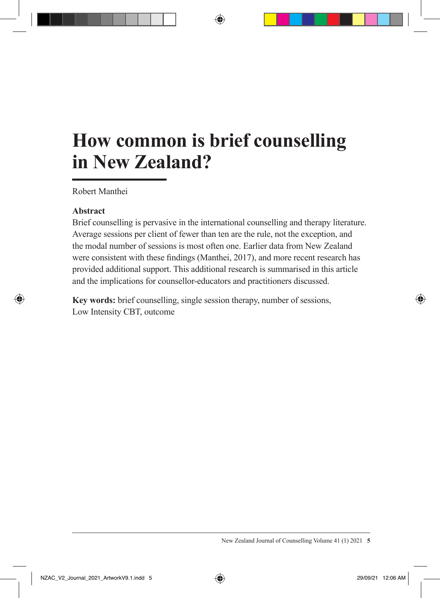# **How common is brief counselling in New Zealand?**

Robert Manthei

### **Abstract**

Brief counselling is pervasive in the international counselling and therapy literature. Average sessions per client of fewer than ten are the rule, not the exception, and the modal number of sessions is most often one. Earlier data from New Zealand were consistent with these findings (Manthei, 2017), and more recent research has provided additional support. This additional research is summarised in this article and the implications for counsellor-educators and practitioners discussed.

**Key words:** brief counselling, single session therapy, number of sessions, Low Intensity CBT, outcome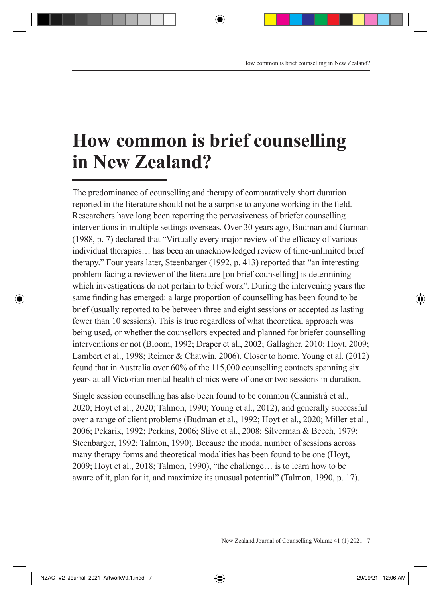# **How common is brief counselling in New Zealand?**

The predominance of counselling and therapy of comparatively short duration reported in the literature should not be a surprise to anyone working in the field. Researchers have long been reporting the pervasiveness of briefer counselling interventions in multiple settings overseas. Over 30 years ago, Budman and Gurman (1988, p. 7) declared that "Virtually every major review of the efficacy of various individual therapies… has been an unacknowledged review of time-unlimited brief therapy." Four years later, Steenbarger (1992, p. 413) reported that "an interesting problem facing a reviewer of the literature [on brief counselling] is determining which investigations do not pertain to brief work". During the intervening years the same finding has emerged: a large proportion of counselling has been found to be brief (usually reported to be between three and eight sessions or accepted as lasting fewer than 10 sessions). This is true regardless of what theoretical approach was being used, or whether the counsellors expected and planned for briefer counselling interventions or not (Bloom, 1992; Draper et al., 2002; Gallagher, 2010; Hoyt, 2009; Lambert et al., 1998; Reimer & Chatwin, 2006). Closer to home, Young et al. (2012) found that in Australia over 60% of the 115,000 counselling contacts spanning six years at all Victorian mental health clinics were of one or two sessions in duration.

Single session counselling has also been found to be common (Cannistrà et al., 2020; Hoyt et al., 2020; Talmon, 1990; Young et al., 2012), and generally successful over a range of client problems (Budman et al., 1992; Hoyt et al., 2020; Miller et al., 2006; Pekarik, 1992; Perkins, 2006; Slive et al., 2008; Silverman & Beech, 1979; Steenbarger, 1992; Talmon, 1990). Because the modal number of sessions across many therapy forms and theoretical modalities has been found to be one (Hoyt, 2009; Hoyt et al., 2018; Talmon, 1990), "the challenge… is to learn how to be aware of it, plan for it, and maximize its unusual potential" (Talmon, 1990, p. 17).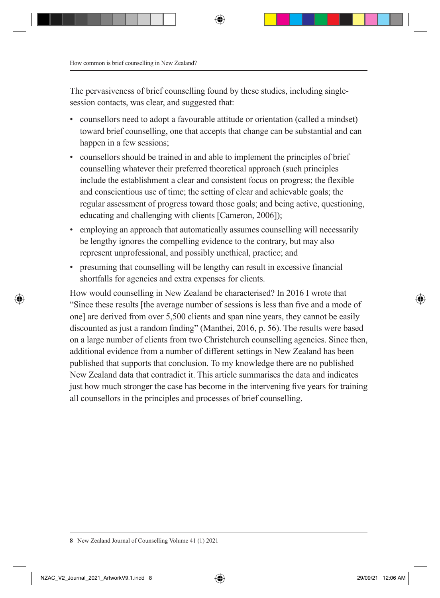The pervasiveness of brief counselling found by these studies, including singlesession contacts, was clear, and suggested that:

- counsellors need to adopt a favourable attitude or orientation (called a mindset) toward brief counselling, one that accepts that change can be substantial and can happen in a few sessions:
- counsellors should be trained in and able to implement the principles of brief counselling whatever their preferred theoretical approach (such principles include the establishment a clear and consistent focus on progress; the flexible and conscientious use of time; the setting of clear and achievable goals; the regular assessment of progress toward those goals; and being active, questioning, educating and challenging with clients [Cameron, 2006]);
- employing an approach that automatically assumes counselling will necessarily be lengthy ignores the compelling evidence to the contrary, but may also represent unprofessional, and possibly unethical, practice; and
- presuming that counselling will be lengthy can result in excessive financial shortfalls for agencies and extra expenses for clients.

How would counselling in New Zealand be characterised? In 2016 I wrote that "Since these results [the average number of sessions is less than five and a mode of one] are derived from over 5,500 clients and span nine years, they cannot be easily discounted as just a random finding" (Manthei, 2016, p. 56). The results were based on a large number of clients from two Christchurch counselling agencies. Since then, additional evidence from a number of different settings in New Zealand has been published that supports that conclusion. To my knowledge there are no published New Zealand data that contradict it. This article summarises the data and indicates just how much stronger the case has become in the intervening five years for training all counsellors in the principles and processes of brief counselling.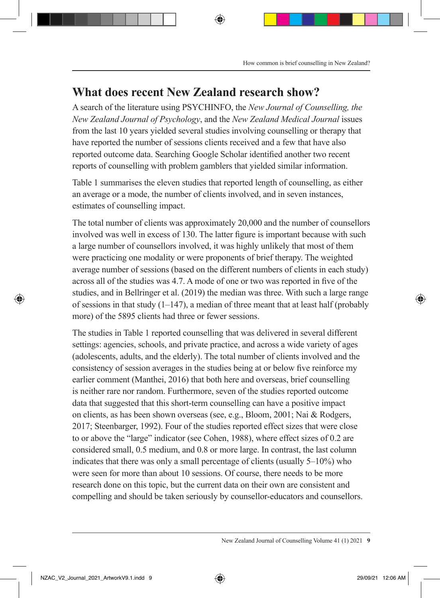## **What does recent New Zealand research show?**

A search of the literature using PSYCHINFO, the *New Journal of Counselling, the New Zealand Journal of Psychology*, and the *New Zealand Medical Journal* issues from the last 10 years yielded several studies involving counselling or therapy that have reported the number of sessions clients received and a few that have also reported outcome data. Searching Google Scholar identified another two recent reports of counselling with problem gamblers that yielded similar information.

Table 1 summarises the eleven studies that reported length of counselling, as either an average or a mode, the number of clients involved, and in seven instances, estimates of counselling impact.

The total number of clients was approximately 20,000 and the number of counsellors involved was well in excess of 130. The latter figure is important because with such a large number of counsellors involved, it was highly unlikely that most of them were practicing one modality or were proponents of brief therapy. The weighted average number of sessions (based on the different numbers of clients in each study) across all of the studies was 4.7. A mode of one or two was reported in five of the studies, and in Bellringer et al. (2019) the median was three. With such a large range of sessions in that study  $(1-147)$ , a median of three meant that at least half (probably more) of the 5895 clients had three or fewer sessions.

The studies in Table 1 reported counselling that was delivered in several different settings: agencies, schools, and private practice, and across a wide variety of ages (adolescents, adults, and the elderly). The total number of clients involved and the consistency of session averages in the studies being at or below five reinforce my earlier comment (Manthei, 2016) that both here and overseas, brief counselling is neither rare nor random. Furthermore, seven of the studies reported outcome data that suggested that this short-term counselling can have a positive impact on clients, as has been shown overseas (see, e.g., Bloom, 2001; Nai & Rodgers, 2017; Steenbarger, 1992). Four of the studies reported effect sizes that were close to or above the "large" indicator (see Cohen, 1988), where effect sizes of 0.2 are considered small, 0.5 medium, and 0.8 or more large. In contrast, the last column indicates that there was only a small percentage of clients (usually 5–10%) who were seen for more than about 10 sessions. Of course, there needs to be more research done on this topic, but the current data on their own are consistent and compelling and should be taken seriously by counsellor-educators and counsellors.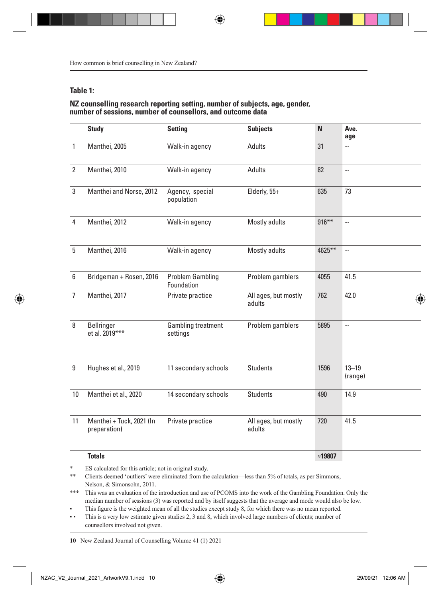#### **Table 1:**

#### **NZ counselling research reporting setting, number of subjects, age, gender, number of sessions, number of counsellors, and outcome data**

|                | <b>Study</b>                             | <b>Setting</b>                        | <b>Subjects</b>                | $\mathbb N$     | Ave.<br>age              |
|----------------|------------------------------------------|---------------------------------------|--------------------------------|-----------------|--------------------------|
| -1             | Manthei, 2005                            | Walk-in agency                        | Adults                         | 31              | $\overline{a}$           |
| $\overline{2}$ | Manthei, 2010                            | Walk-in agency                        | Adults                         | 82              | $\sim$                   |
| 3              | Manthei and Norse, 2012                  | Agency, special<br>population         | Elderly, 55+                   | 635             | 73                       |
| 4              | Manthei, 2012                            | Walk-in agency                        | Mostly adults                  | $916***$        | Ξ.                       |
| 5              | Manthei, 2016                            | Walk-in agency                        | Mostly adults                  | 4625**          | $\sim$                   |
| 6              | Bridgeman + Rosen, 2016                  | <b>Problem Gambling</b><br>Foundation | Problem gamblers               | 4055            | 41.5                     |
| $\overline{1}$ | Manthei, 2017                            | Private practice                      | All ages, but mostly<br>adults | 762             | 42.0                     |
| 8              | Bellringer<br>et al. 2019***             | <b>Gambling treatment</b><br>settings | Problem gamblers               | 5895            | $\overline{\phantom{a}}$ |
| 9              | Hughes et al., 2019                      | 11 secondary schools                  | Students                       | 1596            | $13 - 19$<br>(range)     |
| 10             | Manthei et al., 2020                     | 14 secondary schools                  | Students                       | 490             | 14.9                     |
| 11             | Manthei + Tuck, 2021 (In<br>preparation) | Private practice                      | All ages, but mostly<br>adults | 720             | 41.5                     |
|                | <b>Totals</b>                            |                                       |                                | $\approx$ 19807 |                          |

\* ES calculated for this article; not in original study.

\*\* Clients deemed 'outliers' were eliminated from the calculation—less than 5% of totals, as per Simmons, Nelson, & Simonsohn, 2011.

\*\*\* This was an evaluation of the introduction and use of PCOMS into the work of the Gambling Foundation. Only the median number of sessions (3) was reported and by itself suggests that the average and mode would also be low.

This figure is the weighted mean of all the studies except study 8, for which there was no mean reported.

▪ ▪ This is a very low estimate given studies 2, 3 and 8, which involved large numbers of clients; number of counsellors involved not given.

**<sup>10</sup>** New Zealand Journal of Counselling Volume 41 (1) 2021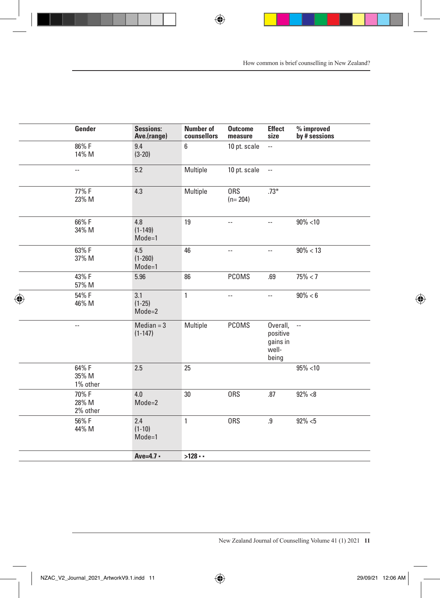| Gender                   |          | <b>Sessions:</b><br>Ave.(range) | <b>Number of</b><br>counsellors | <b>Outcome</b><br>measure | Effect<br>size                                        | $\%$ improved<br>by # sessions |
|--------------------------|----------|---------------------------------|---------------------------------|---------------------------|-------------------------------------------------------|--------------------------------|
| 86%F<br>14% M            |          | 9.4<br>$(3-20)$                 | 6 <sup>1</sup>                  | 10 pt. scale $-$          |                                                       |                                |
| $\sim$ $-$               |          | $5.2\,$                         | Multiple                        | 10 pt. scale $-$          |                                                       |                                |
| 77% F<br>23% M           |          | 4.3                             | Multiple                        | <b>ORS</b><br>$(n=204)$   | $.73*$                                                |                                |
| 66%F<br>34% M            |          | 4.8<br>$(1 - 149)$<br>$Mode=1$  | 19                              | $\sim$                    | $\sim$                                                | $90\% < 10$                    |
| 63% F<br>37% M           |          | 4.5<br>$(1 - 260)$<br>$Mode=1$  | 46                              | $\sim$ $-$                | $\sim$ $-$                                            | $90\% < 13$                    |
| 43% F<br>57% M           |          | 5.96                            | 86                              | PCOMS                     | .69                                                   | $75\% < 7$                     |
| 54% F<br>46% M           |          | 3.1<br>$(1-25)$<br>$Mode = 2$   | $\mathbf{1}$                    | $\sim$                    | $\sim$ $-$                                            | $90\% < 6$                     |
| $\overline{\phantom{a}}$ |          | $Median = 3$<br>$(1-147)$       | Multiple                        | PCOMS                     | Overall, --<br>positive<br>gains in<br>well-<br>being |                                |
| 64% F<br>35% M           | 1% other | 2.5                             | 25                              |                           |                                                       | $95\% < 10$                    |
| 70% F<br>28% M           | 2% other | 4.0<br>$Mode = 2$               | $30\,$                          | <b>ORS</b>                | .87                                                   | $92\% < 8$                     |
| 56% F<br>44% M           |          | 2.4<br>$(1-10)$<br>Mode=1       | $\mathbf{1}$                    | ORS                       | .9                                                    | $92\% < 5$                     |
|                          |          | $Ave=4.7 -$                     | $>128$                          |                           |                                                       |                                |
|                          |          |                                 |                                 |                           |                                                       |                                |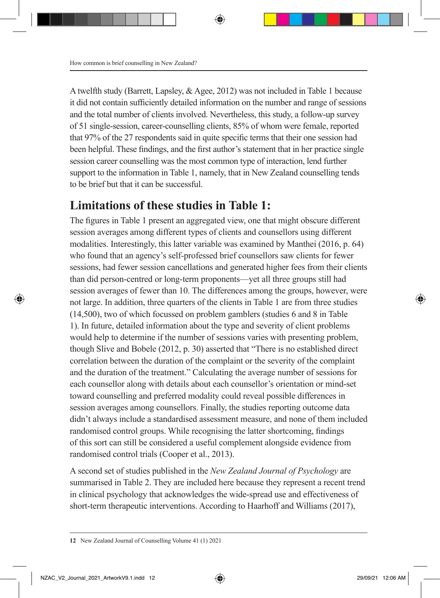A twelfth study (Barrett, Lapsley, & Agee, 2012) was not included in Table 1 because it did not contain sufficiently detailed information on the number and range of sessions and the total number of clients involved. Nevertheless, this study, a follow-up survey of 51 single-session, career-counselling clients, 85% of whom were female, reported that 97% of the 27 respondents said in quite specific terms that their one session had been helpful. These findings, and the first author's statement that in her practice single session career counselling was the most common type of interaction, lend further support to the information in Table 1, namely, that in New Zealand counselling tends to be brief but that it can be successful.

### **Limitations of these studies in Table 1:**

The figures in Table 1 present an aggregated view, one that might obscure different session averages among different types of clients and counsellors using different modalities. Interestingly, this latter variable was examined by Manthei (2016, p. 64) who found that an agency's self-professed brief counsellors saw clients for fewer sessions, had fewer session cancellations and generated higher fees from their clients than did person-centred or long-term proponents—yet all three groups still had session averages of fewer than 10. The differences among the groups, however, were not large. In addition, three quarters of the clients in Table 1 are from three studies (14,500), two of which focussed on problem gamblers (studies 6 and 8 in Table 1). In future, detailed information about the type and severity of client problems would help to determine if the number of sessions varies with presenting problem, though Slive and Bobele (2012, p. 30) asserted that "There is no established direct correlation between the duration of the complaint or the severity of the complaint and the duration of the treatment." Calculating the average number of sessions for each counsellor along with details about each counsellor's orientation or mind-set toward counselling and preferred modality could reveal possible differences in session averages among counsellors. Finally, the studies reporting outcome data didn't always include a standardised assessment measure, and none of them included randomised control groups. While recognising the latter shortcoming, findings of this sort can still be considered a useful complement alongside evidence from randomised control trials (Cooper et al., 2013).

A second set of studies published in the *New Zealand Journal of Psychology* are summarised in Table 2. They are included here because they represent a recent trend in clinical psychology that acknowledges the wide-spread use and effectiveness of short-term therapeutic interventions. According to Haarhoff and Williams (2017),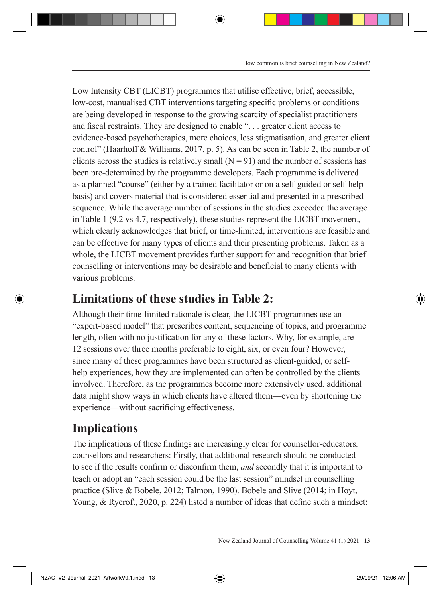Low Intensity CBT (LICBT) programmes that utilise effective, brief, accessible, low-cost, manualised CBT interventions targeting specific problems or conditions are being developed in response to the growing scarcity of specialist practitioners and fiscal restraints. They are designed to enable ". . . greater client access to evidence-based psychotherapies, more choices, less stigmatisation, and greater client control" (Haarhoff & Williams, 2017, p. 5). As can be seen in Table 2, the number of clients across the studies is relatively small  $(N = 91)$  and the number of sessions has been pre-determined by the programme developers. Each programme is delivered as a planned "course" (either by a trained facilitator or on a self-guided or self-help basis) and covers material that is considered essential and presented in a prescribed sequence. While the average number of sessions in the studies exceeded the average in Table 1 (9.2 vs 4.7, respectively), these studies represent the LICBT movement, which clearly acknowledges that brief, or time-limited, interventions are feasible and can be effective for many types of clients and their presenting problems. Taken as a whole, the LICBT movement provides further support for and recognition that brief counselling or interventions may be desirable and beneficial to many clients with various problems.

## **Limitations of these studies in Table 2:**

Although their time-limited rationale is clear, the LICBT programmes use an "expert-based model" that prescribes content, sequencing of topics, and programme length, often with no justification for any of these factors. Why, for example, are 12 sessions over three months preferable to eight, six, or even four? However, since many of these programmes have been structured as client-guided, or selfhelp experiences, how they are implemented can often be controlled by the clients involved. Therefore, as the programmes become more extensively used, additional data might show ways in which clients have altered them—even by shortening the experience—without sacrificing effectiveness.

## **Implications**

The implications of these findings are increasingly clear for counsellor-educators, counsellors and researchers: Firstly, that additional research should be conducted to see if the results confirm or disconfirm them, *and* secondly that it is important to teach or adopt an "each session could be the last session" mindset in counselling practice (Slive & Bobele, 2012; Talmon, 1990). Bobele and Slive (2014; in Hoyt, Young, & Rycroft, 2020, p. 224) listed a number of ideas that define such a mindset: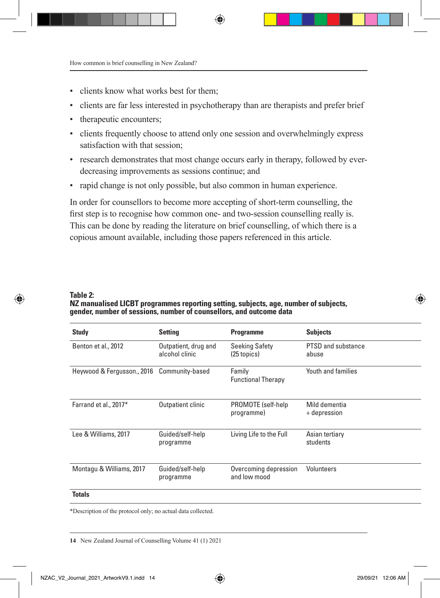- clients know what works best for them;
- clients are far less interested in psychotherapy than are therapists and prefer brief
- therapeutic encounters;
- clients frequently choose to attend only one session and overwhelmingly express satisfaction with that session;
- research demonstrates that most change occurs early in therapy, followed by everdecreasing improvements as sessions continue; and
- rapid change is not only possible, but also common in human experience.

In order for counsellors to become more accepting of short-term counselling, the first step is to recognise how common one- and two-session counselling really is. This can be done by reading the literature on brief counselling, of which there is a copious amount available, including those papers referenced in this article.

#### **Table 2:**

**NZ manualised LICBT programmes reporting setting, subjects, age, number of subjects, gender, number of sessions, number of counsellors, and outcome data**

| <b>Study</b>                               | <b>Setting</b>                         | Programme                              | <b>Subjects</b>                    |
|--------------------------------------------|----------------------------------------|----------------------------------------|------------------------------------|
| Benton et al., 2012                        | Outpatient, drug and<br>alcohol clinic | <b>Seeking Safety</b><br>$(25$ topics) | <b>PTSD and substance</b><br>abuse |
| Heywood & Fergusson., 2016 Community-based |                                        | Family<br><b>Functional Therapy</b>    | Youth and families                 |
| Farrand et al., 2017*                      | Outpatient clinic                      | PROMOTE (self-help<br>programme)       | Mild dementia<br>+ depression      |
| Lee & Williams, 2017                       | Guided/self-help<br>programme          | Living Life to the Full                | Asian tertiary<br>students         |
| Montagu & Williams, 2017                   | Guided/self-help<br>programme          | Overcoming depression<br>and low mood  | Volunteers                         |
| <b>Totals</b>                              |                                        |                                        |                                    |

\*Description of the protocol only; no actual data collected.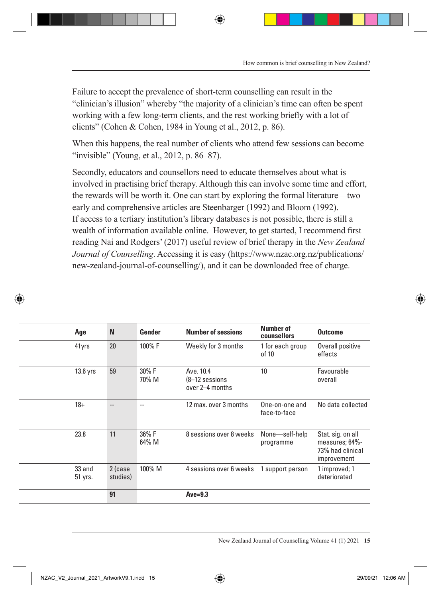Failure to accept the prevalence of short-term counselling can result in the "clinician's illusion" whereby "the majority of a clinician's time can often be spent working with a few long-term clients, and the rest working briefly with a lot of clients" (Cohen & Cohen, 1984 in Young et al., 2012, p. 86).

When this happens, the real number of clients who attend few sessions can become "invisible" (Young, et al., 2012, p. 86–87).

Secondly, educators and counsellors need to educate themselves about what is involved in practising brief therapy. Although this can involve some time and effort, the rewards will be worth it. One can start by exploring the formal literature—two early and comprehensive articles are Steenbarger (1992) and Bloom (1992). If access to a tertiary institution's library databases is not possible, there is still a wealth of information available online. However, to get started, I recommend first reading Nai and Rodgers' (2017) useful review of brief therapy in the *New Zealand Journal of Counselling*. Accessing it is easy (https://www.nzac.org.nz/publications/ new-zealand-journal-of-counselling/), and it can be downloaded free of charge.

| Age               | $\mathbf N$              | Gender         | <b>Number of sessions</b>                         | <b>Number of</b><br>counsellors | <b>Outcome</b>                                                         |
|-------------------|--------------------------|----------------|---------------------------------------------------|---------------------------------|------------------------------------------------------------------------|
| 41yrs             | 20                       | 100% F         | Weekly for 3 months                               | 1 for each group<br>of 10       | Overall positive<br>effects                                            |
| 13.6 yrs          | 59                       | 30% F<br>70% M | Ave. 10.4<br>$(8-12)$ sessions<br>over 2-4 months | 10                              | Favourable<br>overall                                                  |
| $18 +$            | $\overline{\phantom{a}}$ | $\sim$ $\sim$  | 12 max. over 3 months                             | One-on-one and<br>face-to-face  | No data collected                                                      |
| 23.8              | 11                       | 36% F<br>64% M | 8 sessions over 8 weeks                           | None-self-help<br>programme     | Stat. sig. on all<br>measures; 64%-<br>73% had clinical<br>improvement |
| 33 and<br>51 yrs. | 2 (case<br>studies)      | 100% M         | 4 sessions over 6 weeks                           | l support person                | 1 improved; 1<br>deteriorated                                          |
|                   | 91                       |                | $Ave=9.3$                                         |                                 |                                                                        |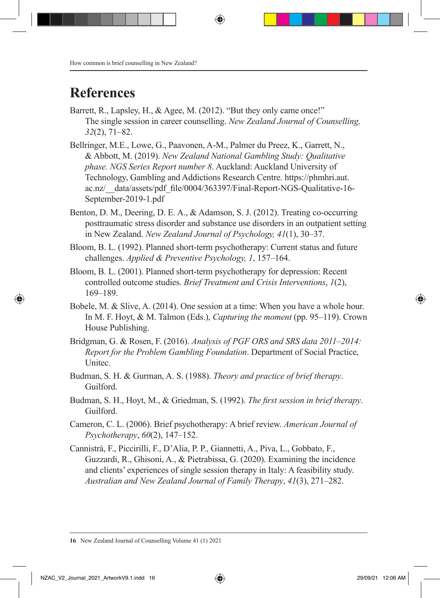## **References**

- Barrett, R., Lapsley, H., & Agee, M. (2012). "But they only came once!" The single session in career counselling. *New Zealand Journal of Counselling, 32*(2), 71–82.
- Bellringer, M.E., Lowe, G., Paavonen, A-M., Palmer du Preez, K., Garrett, N., & Abbott, M. (2019). *New Zealand National Gambling Study: Qualitative phase. NGS Series Report number 8*. Auckland: Auckland University of Technology, Gambling and Addictions Research Centre. https://phmhri.aut. ac.nz/\_\_data/assets/pdf\_file/0004/363397/Final-Report-NGS-Qualitative-16- September-2019-1.pdf
- Benton, D. M., Deering, D. E. A., & Adamson, S. J. (2012). Treating co-occurring posttraumatic stress disorder and substance use disorders in an outpatient setting in New Zealand. *New Zealand Journal of Psychology, 41*(1), 30–37.
- Bloom, B. L. (1992). Planned short-term psychotherapy: Current status and future challenges. *Applied & Preventive Psychology, 1*, 157–164.
- Bloom, B. L. (2001). Planned short-term psychotherapy for depression: Recent controlled outcome studies. *Brief Treatment and Crisis Interventions*, *1*(2), 169–189.
- Bobele, M. & Slive, A. (2014). One session at a time: When you have a whole hour. In M. F. Hoyt, & M. Talmon (Eds.), *Capturing the moment* (pp. 95–119). Crown House Publishing.
- Bridgman, G. & Rosen, F. (2016). *Analysis of PGF ORS and SRS data 2011–2014: Report for the Problem Gambling Foundation*. Department of Social Practice, Unitec.
- Budman, S. H. & Gurman, A. S. (1988). *Theory and practice of brief therapy*. Guilford.
- Budman, S. H., Hoyt, M., & Griedman, S. (1992). *The first session in brief therapy*. Guilford.
- Cameron, C. L. (2006). Brief psychotherapy: A brief review. *American Journal of Psychotherapy*, *60*(2), 147–152.
- Cannistrà, F., Piccirilli, F., D'Alia, P. P., Giannetti, A., Piva, L., Gobbato, F., Guzzardi, R., Ghisoni, A., & Pietrabissa, G. (2020). Examining the incidence and clients' experiences of single session therapy in Italy: A feasibility study. *Australian and New Zealand Journal of Family Therapy*, *41*(3), 271–282.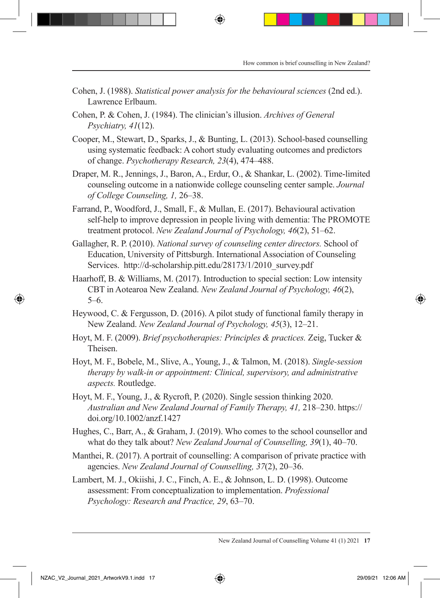- Cohen, J. (1988). *Statistical power analysis for the behavioural sciences* (2nd ed.). Lawrence Erlbaum.
- Cohen, P. & Cohen, J. (1984). The clinician's illusion. *Archives of General Psychiatry, 41*(12).
- Cooper, M., Stewart, D., Sparks, J., & Bunting, L. (2013). School-based counselling using systematic feedback: A cohort study evaluating outcomes and predictors of change. *Psychotherapy Research, 23*(4), 474–488.
- Draper, M. R., Jennings, J., Baron, A., Erdur, O., & Shankar, L. (2002). Time-limited counseling outcome in a nationwide college counseling center sample. *Journal of College Counseling, 1,* 26–38.
- Farrand, P., Woodford, J., Small, F., & Mullan, E. (2017). Behavioural activation self-help to improve depression in people living with dementia: The PROMOTE treatment protocol. *New Zealand Journal of Psychology, 46*(2), 51–62.
- Gallagher, R. P. (2010). *National survey of counseling center directors.* School of Education, University of Pittsburgh. International Association of Counseling Services. http://d-scholarship.pitt.edu/28173/1/2010\_survey.pdf
- Haarhoff, B. & Williams, M. (2017). Introduction to special section: Low intensity CBT in Aotearoa New Zealand. *New Zealand Journal of Psychology, 46*(2), 5–6.
- Heywood, C. & Fergusson, D. (2016). A pilot study of functional family therapy in New Zealand. *New Zealand Journal of Psychology, 45*(3), 12–21.
- Hoyt, M. F. (2009). *Brief psychotherapies: Principles & practices.* Zeig, Tucker & Theisen.
- Hoyt, M. F., Bobele, M., Slive, A., Young, J., & Talmon, M. (2018). *Single-session therapy by walk-in or appointment: Clinical, supervisory, and administrative aspects.* Routledge.
- Hoyt, M. F., Young, J., & Rycroft, P. (2020). Single session thinking 2020. *Australian and New Zealand Journal of Family Therapy, 41,* 218–230. https:// doi.org/10.1002/anzf.1427
- Hughes, C., Barr, A., & Graham, J. (2019). Who comes to the school counsellor and what do they talk about? *New Zealand Journal of Counselling, 39*(1), 40–70.
- Manthei, R. (2017). A portrait of counselling: A comparison of private practice with agencies. *New Zealand Journal of Counselling, 37*(2), 20–36.
- Lambert, M. J., Okiishi, J. C., Finch, A. E., & Johnson, L. D. (1998). Outcome assessment: From conceptualization to implementation. *Professional Psychology: Research and Practice, 29*, 63–70.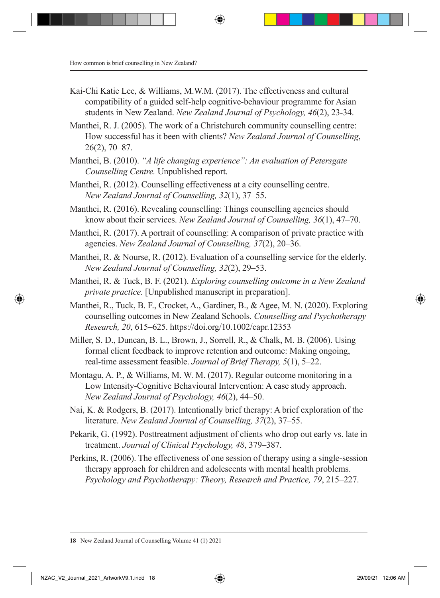- Kai-Chi Katie Lee, & Williams, M.W.M. (2017). The effectiveness and cultural compatibility of a guided self-help cognitive-behaviour programme for Asian students in New Zealand. *New Zealand Journal of Psychology, 46*(2), 23-34.
- Manthei, R. J. (2005). The work of a Christchurch community counselling centre: How successful has it been with clients? *New Zealand Journal of Counselling*, 26(2), 70–87.
- Manthei, B. (2010). *"A life changing experience": An evaluation of Petersgate Counselling Centre.* Unpublished report.
- Manthei, R. (2012). Counselling effectiveness at a city counselling centre. *New Zealand Journal of Counselling, 32*(1), 37–55.
- Manthei, R. (2016). Revealing counselling: Things counselling agencies should know about their services. *New Zealand Journal of Counselling, 36*(1), 47–70.
- Manthei, R. (2017). A portrait of counselling: A comparison of private practice with agencies. *New Zealand Journal of Counselling, 37*(2), 20–36.
- Manthei, R. & Nourse, R. (2012). Evaluation of a counselling service for the elderly. *New Zealand Journal of Counselling, 32*(2), 29–53.
- Manthei, R. & Tuck, B. F. (2021). *Exploring counselling outcome in a New Zealand private practice.* [Unpublished manuscript in preparation].
- Manthei, R., Tuck, B. F., Crocket, A., Gardiner, B., & Agee, M. N. (2020). Exploring counselling outcomes in New Zealand Schools. *Counselling and Psychotherapy Research, 20*, 615–625. https://doi.org/10.1002/capr.12353
- Miller, S. D., Duncan, B. L., Brown, J., Sorrell, R., & Chalk, M. B. (2006). Using formal client feedback to improve retention and outcome: Making ongoing, real-time assessment feasible. *Journal of Brief Therapy, 5*(1), 5–22.
- Montagu, A. P., & Williams, M. W. M. (2017). Regular outcome monitoring in a Low Intensity-Cognitive Behavioural Intervention: A case study approach. *New Zealand Journal of Psychology, 46*(2), 44–50.
- Nai, K. & Rodgers, B. (2017). Intentionally brief therapy: A brief exploration of the literature. *New Zealand Journal of Counselling, 37*(2), 37–55.
- Pekarik, G. (1992). Posttreatment adjustment of clients who drop out early vs. late in treatment. *Journal of Clinical Psychology, 48*, 379–387.
- Perkins, R. (2006). The effectiveness of one session of therapy using a single-session therapy approach for children and adolescents with mental health problems. *Psychology and Psychotherapy: Theory, Research and Practice, 79*, 215–227.